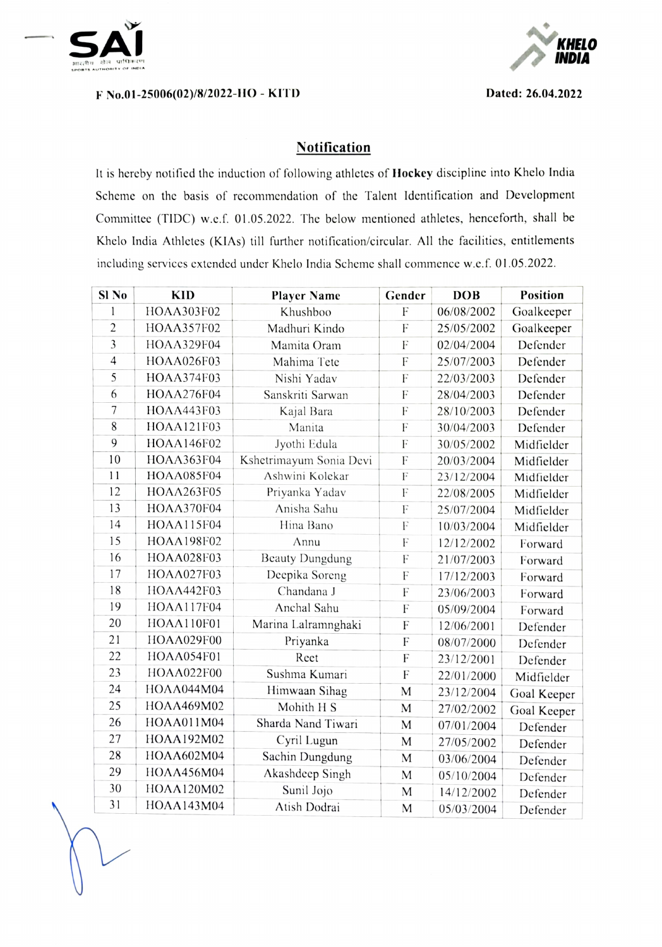

## F No.01-25006(02)/8/2022-HO - KITD Dated: 26.04.2022



## **Notification**

It is hereby notificd the induction of following athletes of Hockey discipline into Khelo India Scheme on the basis of recommendation of the Talent ldentification and Development Committee (TIDC) w.c.f. 01.05.2022. The below mentioned athletes, henceforth, shall be Khelo India Athletes (KIAs) till further notification/circular. All the facilities, entitlements including services extended under Khelo India Scheme shall commence w.e.f. 01.05.2022.

| Sl <sub>No</sub> | <b>KID</b>        | <b>Player Name</b>      | Gender                    | <b>DOB</b> | Position    |
|------------------|-------------------|-------------------------|---------------------------|------------|-------------|
| 1                | HOAA303F02        | Khushboo                | F                         | 06/08/2002 | Goalkeeper  |
| $\overline{c}$   | HOAA357F02        | Madhuri Kindo           | F                         | 25/05/2002 | Goalkeeper  |
| 3                | <b>HOAA329F04</b> | Mamita Oram             | F                         | 02/04/2004 | Defender    |
| $\overline{4}$   | HOAA026F03        | Mahima Tete             | F                         | 25/07/2003 | Defender    |
| 5                | HOAA374F03        | Nishi Yadav             | $\boldsymbol{\mathrm{F}}$ | 22/03/2003 | Defender    |
| 6                | <b>HOAA276F04</b> | Sanskriti Sarwan        | F                         | 28/04/2003 | Defender    |
| 7                | <b>HOAA443F03</b> | Kajal Bara              | F                         | 28/10/2003 | Defender    |
| 8                | HOAA121F03        | Manita                  | $\mathbf F$               | 30/04/2003 | Defender    |
| 9                | HOAA146F02        | Jyothi Edula            | F                         | 30/05/2002 | Midfielder  |
| 10               | HOAA363F04        | Kshetrimayum Sonia Devi | F                         | 20/03/2004 | Midfielder  |
| 11               | HOAA085F04        | Ashwini Kolekar         | F                         | 23/12/2004 | Midfielder  |
| 12               | <b>HOAA263F05</b> | Priyanka Yadav          | F                         | 22/08/2005 | Midfielder  |
| 13               | HOAA370F04        | Anisha Sahu             | F                         | 25/07/2004 | Midfielder  |
| 14               | HOAA115F04        | Hina Bano               | ${\bf F}$                 | 10/03/2004 | Midfielder  |
| 15               | HOAA198F02        | Annu                    | F                         | 12/12/2002 | Forward     |
| 16               | HOAA028F03        | <b>Beauty Dungdung</b>  | F                         | 21/07/2003 | Forward     |
| 17               | <b>HOAA027F03</b> | Deepika Soreng          | ${\bf F}$                 | 17/12/2003 | Forward     |
| 18               | HOAA442F03        | Chandana J              | F                         | 23/06/2003 | Forward     |
| 19               | <b>HOAA117F04</b> | Anchal Sahu             | F                         | 05/09/2004 | Forward     |
| 20               | HOAA110F01        | Marina Lalramnghaki     | F                         | 12/06/2001 | Defender    |
| 21               | <b>HOAA029F00</b> | Priyanka                | $\boldsymbol{\mathrm{F}}$ | 08/07/2000 | Defender    |
| 22               | HOAA054F01        | Reet                    | F                         | 23/12/2001 | Defender    |
| 23               | <b>HOAA022F00</b> | Sushma Kumari           | F                         | 22/01/2000 | Midfielder  |
| 24               | HOAA044M04        | Himwaan Sihag           | M                         | 23/12/2004 | Goal Keeper |
| 25               | HOAA469M02        | Mohith H S              | M                         | 27/02/2002 | Goal Keeper |
| 26               | HOAA011M04        | Sharda Nand Tiwari      | M                         | 07/01/2004 | Defender    |
| 27               | HOAA192M02        | Cyril Lugun             | M                         | 27/05/2002 | Defender    |
| 28               | HOAA602M04        | Sachin Dungdung         | M                         | 03/06/2004 | Defender    |
| 29               | HOAA456M04        | Akashdeep Singh         | M                         | 05/10/2004 | Defender    |
| 30               | HOAA120M02        | Sunil Jojo              | M                         | 14/12/2002 | Defender    |
| 31               | HOAA143M04        | Atish Dodrai            | M                         | 05/03/2004 | Defender    |